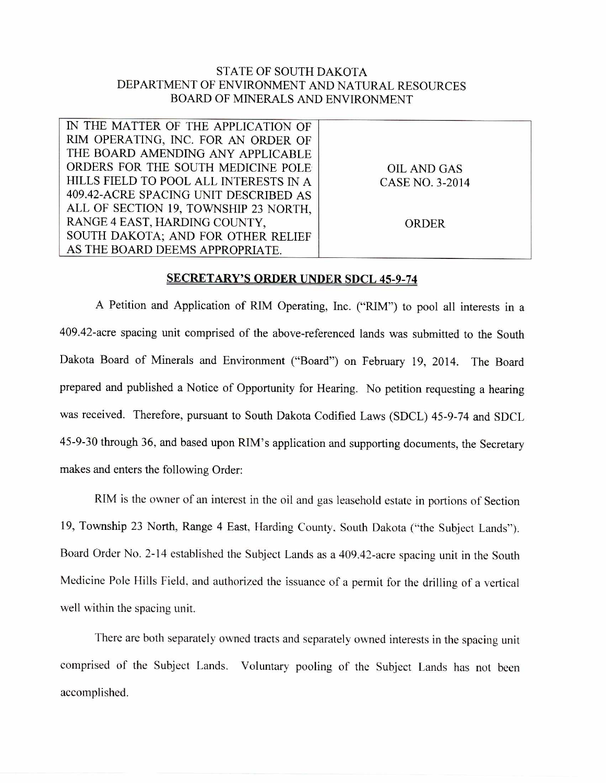## STATE OF SOUTH DAKOTA DEPARTMENT OF ENVIRONMENT AND NATURAL RESOURCES BOARD OF MINERALS AND ENVIRONMENT

| IN THE MATTER OF THE APPLICATION OF    |                    |
|----------------------------------------|--------------------|
| RIM OPERATING, INC. FOR AN ORDER OF    |                    |
| THE BOARD AMENDING ANY APPLICABLE      |                    |
| ORDERS FOR THE SOUTH MEDICINE POLE     | <b>OIL AND GAS</b> |
| HILLS FIELD TO POOL ALL INTERESTS IN A | CASE NO. 3-2014    |
| 409.42-ACRE SPACING UNIT DESCRIBED AS  |                    |
| ALL OF SECTION 19, TOWNSHIP 23 NORTH,  |                    |
| RANGE 4 EAST, HARDING COUNTY,          | <b>ORDER</b>       |
| SOUTH DAKOTA; AND FOR OTHER RELIEF     |                    |
| AS THE BOARD DEEMS APPROPRIATE.        |                    |

## **SECRETARY'S ORDER UNDER SDCL 45-9-74**

A Petition and Application of RIM Operating, Inc. ("RIM") to pool all interests in a 409.42-acre spacing unit comprised of the above-referenced lands was submitted to the South Dakota Board of Minerals and Environment ("Board") on February 19, 2014. The Board prepared and published a Notice of Opportunity for Hearing. No petition requesting a hearing was received. Therefore, pursuant to South Dakota Codified Laws (SDCL) 45-9-74 and SDCL 45-9-30 through 36, and based upon RIM's application and supporting documents, the Secretary makes and enters the following Order:

RIM is the owner of an interest in the oil and gas leasehold estate in portions of Section 19, Township 23 North, Range 4 East, Harding County, South Dakota ("the Subject Lands"). Board Order No. 2-14 established the Subject Lands as a 409.42-acre spacing unit in the South Medicine Pole Hills Field, and authorized the issuance of a permit for the drilling of a vertical well within the spacing unit.

There are both separately owned tracts and separately owned interests in the spacing unit comprised of the Subject Lands. Voluntary pooling of the Subject Lands has not been accomplished.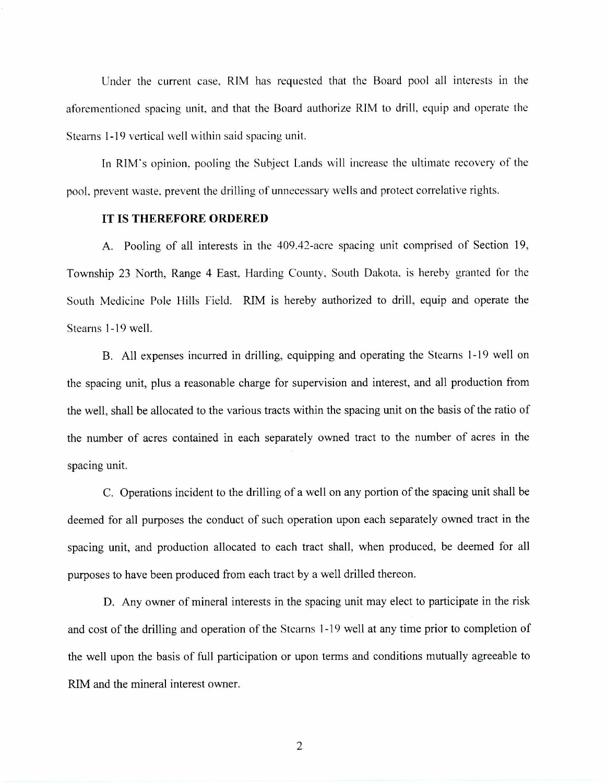Under the current case, RIM has requested that the Board pool all interests in the aforementioned spacing unit, and that the Board authorize RIM to drill, equip and operate the Stearns 1-19 vertical well within said spacing unit.

In RIM's opinion, pooling the Subject Lands will increase the ultimate recovery of the pool, prevent waste, prevent the drilling of unnecessary wells and protect correlative rights.

## **IT IS THEREFORE ORDERED**

A. Pooling of all interests in the 409.42-acre spacing unit comprised of Section 19, Township 23 North, Range 4 East, Harding County, South Dakota, is hereby granted for the South Medicine Pole Hills Field. RIM is hereby authorized to drill, equip and operate the Stearns 1-19 well.

B. All expenses incurred in drilling, equipping and operating the Stearns 1-19 well on the spacing unit, plus a reasonable charge for supervision and interest, and all production from the well, shall be allocated to the various tracts within the spacing unit on the basis of the ratio of the number of acres contained in each separately owned tract to the number of acres in the spacing unit.

C. Operations incident to the drilling of a well on any portion of the spacing unit shall be deemed for all purposes the conduct of such operation upon each separately owned tract in the spacing unit, and production allocated to each tract shall, when produced, be deemed for all purposes to have been produced from each tract by a well drilled thereon.

D. Any owner of mineral interests in the spacing unit may elect to participate in the risk and cost of the drilling and operation of the Stearns 1-19 well at any time prior to completion of the well upon the basis of full participation or upon terms and conditions mutually agreeable to RIM and the mineral interest owner.

2